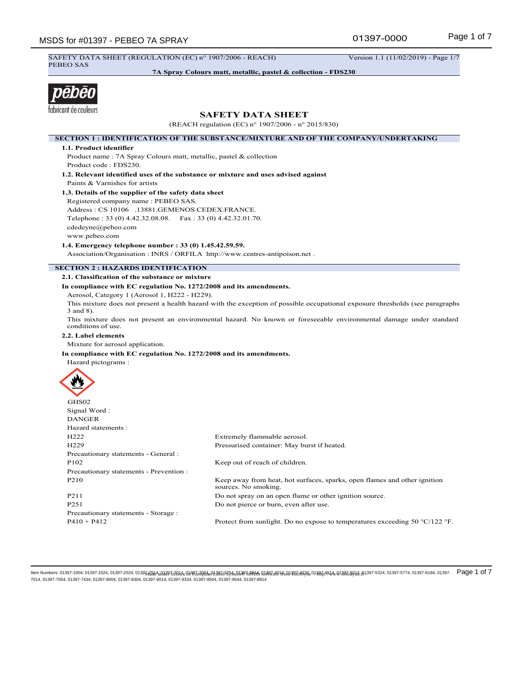01397-0000

SAFETY DATA SHEET (REGULATION (EC) n° 1907/2006 - REACH) Version 1.1 (11/02/2019) - Page 1/7 PEBEO SAS

**7A Spray Colours matt, metallic, pastel & collection - FDS230**



# **SAFETY DATA SHEET**

(REACH regulation (EC) n° 1907/2006 - n° 2015/830)

**SECTION 1 : IDENTIFICATION OF THE SUBSTANCE/MIXTURE AND OF THE COMPANY/UNDERTAKING**

## **1.1. Product identifier**

Product name : 7A Spray Colours matt, metallic, pastel & collection Product code : FDS230.

**1.2. Relevant identified uses of the substance or mixture and uses advised against** Paints & Varnishes for artists

## **1.3. Details of the supplier of the safety data sheet**

Registered company name : PEBEO SAS. Address : CS 10106 .13881.GEMENOS CEDEX.FRANCE. Telephone : 33 (0) 4.42.32.08.08. Fax : 33 (0) 4.42.32.01.70. cdedeyne@pebeo.com www.pebeo.com

**1.4. Emergency telephone number : 33 (0) 1.45.42.59.59.**

Association/Organisation : INRS / ORFILA http://www.centres-antipoison.net .

# **SECTION 2 : HAZARDS IDENTIFICATION**

## **2.1. Classification of the substance or mixture**

**In compliance with EC regulation No. 1272/2008 and its amendments.**

Aerosol, Category 1 (Aerosol 1, H222 - H229).

This mixture does not present a health hazard with the exception of possible occupational exposure thresholds (see paragraphs 3 and 8).

This mixture does not present an environmental hazard. No known or foreseeable environmental damage under standard conditions of use.

#### **2.2. Label elements**

Mixture for aerosol application.

#### **In compliance with EC regulation No. 1272/2008 and its amendments.**



| GHS02                                   |                                                                                                   |
|-----------------------------------------|---------------------------------------------------------------------------------------------------|
| Signal Word:                            |                                                                                                   |
| <b>DANGER</b>                           |                                                                                                   |
| Hazard statements :                     |                                                                                                   |
| H <sub>222</sub>                        | Extremely flammable aerosol.                                                                      |
| H <sub>229</sub>                        | Pressurised container: May burst if heated.                                                       |
| Precautionary statements - General :    |                                                                                                   |
| P <sub>102</sub>                        | Keep out of reach of children.                                                                    |
| Precautionary statements - Prevention : |                                                                                                   |
| P <sub>2</sub> 10                       | Keep away from heat, hot surfaces, sparks, open flames and other ignition<br>sources. No smoking. |
| P <sub>211</sub>                        | Do not spray on an open flame or other ignition source.                                           |
| P <sub>251</sub>                        | Do not pierce or burn, even after use.                                                            |
| Precautionary statements - Storage :    |                                                                                                   |
| $P410 + P412$                           | Protect from sunlight. Do no expose to temperatures exceeding 50 $\degree$ C/122 $\degree$ F.     |

ltem Numbers: 01397-1004, 01397-1024, 01397-2024, 01397<del>, 202</del>4, 4,1397, 2024, 4,897, 2,842, 4,992, 2,892, 2,892, 2,894, 4,138, 2,894, 2,894, 2,894, 2,894, 2,894, 2,894, 2,94, 2,94, 4,1397, 4,89, 2,89, 2,89, 2,89, 2,89, 2 7014, 01397-7054, 01397-7434, 01397-8004, 01397-8304, 01397-9014, 01397-9334, 01397-9504, 01397-9544, 01397-8914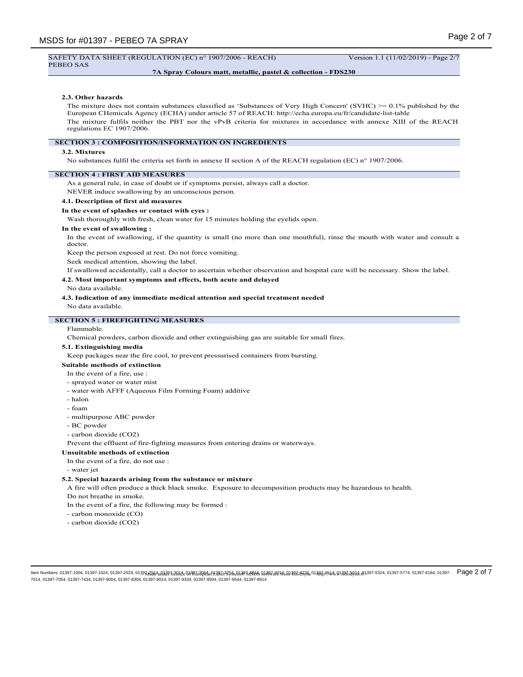#### SAFETY DATA SHEET (REGULATION (EC) n° 1907/2006 - REACH) Version 1.1 (11/02/2019) - Page 2/7 PEBEO SAS

## **7A Spray Colours matt, metallic, pastel & collection - FDS230**

## **2.3. Other hazards**

The mixture does not contain substances classified as 'Substances of Very High Concern' (SVHC) >= 0.1% published by the European CHemicals Agency (ECHA) under article 57 of REACH: http://echa.europa.eu/fr/candidate-list-table The mixture fulfils neither the PBT nor the vPvB criteria for mixtures in accordance with annexe XIII of the REACH regulations EC 1907/2006.

## **SECTION 3 : COMPOSITION/INFORMATION ON INGREDIENTS**

## **3.2. Mixtures**

No substances fulfil the criteria set forth in annexe II section A of the REACH regulation (EC) n° 1907/2006.

## **SECTION 4 : FIRST AID MEASURES**

As a general rule, in case of doubt or if symptoms persist, always call a doctor.

NEVER induce swallowing by an unconscious person.

# **4.1. Description of first aid measures**

## **In the event of splashes or contact with eyes :**

Wash thoroughly with fresh, clean water for 15 minutes holding the eyelids open.

## **In the event of swallowing :**

In the event of swallowing, if the quantity is small (no more than one mouthful), rinse the mouth with water and consult a doctor.

Keep the person exposed at rest. Do not force vomiting.

Seek medical attention, showing the label.

If swallowed accidentally, call a doctor to ascertain whether observation and hospital care will be necessary. Show the label.

## **4.2. Most important symptoms and effects, both acute and delayed**

No data available.

**4.3. Indication of any immediate medical attention and special treatment needed**

No data available.

## **SECTION 5 : FIREFIGHTING MEASURES**

## Flammable.

Chemical powders, carbon dioxide and other extinguishing gas are suitable for small fires.

#### **5.1. Extinguishing media**

Keep packages near the fire cool, to prevent pressurised containers from bursting.

**Suitable methods of extinction**

- In the event of a fire, use :
- sprayed water or water mist
- water with AFFF (Aqueous Film Forming Foam) additive
- halon
- foam
- multipurpose ABC powder
- BC powder
- carbon dioxide (CO2)

Prevent the effluent of fire-fighting measures from entering drains or waterways.

#### **Unsuitable methods of extinction**

- In the event of a fire, do not use :
- water jet

#### **5.2. Special hazards arising from the substance or mixture**

A fire will often produce a thick black smoke. Exposure to decomposition products may be hazardous to health.

Do not breathe in smoke.

In the event of a fire, the following may be formed :

- carbon monoxide (CO)
- carbon dioxide (CO2)

ltem Numbers: 01397-1004, 01397-1024, 01397-2024, 01397<del>, 202</del>4, 4,1397, 2024, 4,897, 2,842, 2,992, 2,892, 2,892, 2,894, 4,138, 2,894, 2,894, 2,894, 2,894, 2,894, 2,894, 2,94, 4,139, 4,43, 4,397-5324, 01397-5324, 01397-57 7014, 01397-7054, 01397-7434, 01397-8004, 01397-8304, 01397-9014, 01397-9334, 01397-9504, 01397-9544, 01397-8914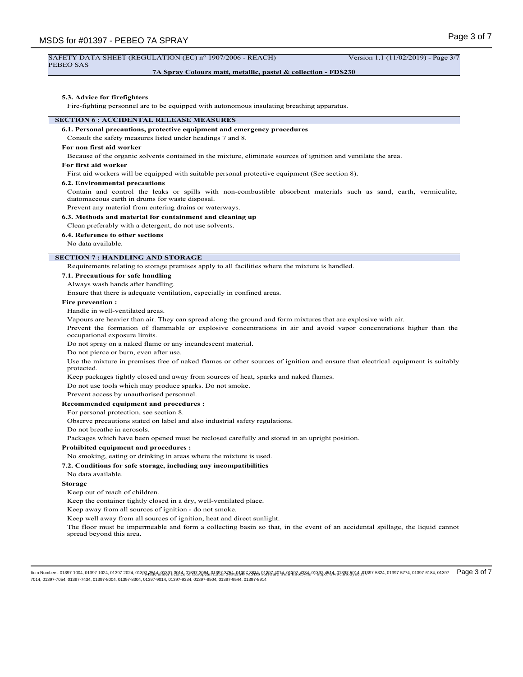#### SAFETY DATA SHEET (REGULATION (EC) n° 1907/2006 - REACH) Version 1.1 (11/02/2019) - Page 3/7 PEBEO SAS

## **7A Spray Colours matt, metallic, pastel & collection - FDS230**

#### **5.3. Advice for firefighters**

Fire-fighting personnel are to be equipped with autonomous insulating breathing apparatus.

## **SECTION 6 : ACCIDENTAL RELEASE MEASURES**

#### **6.1. Personal precautions, protective equipment and emergency procedures**

Consult the safety measures listed under headings 7 and 8.

## **For non first aid worker**

Because of the organic solvents contained in the mixture, eliminate sources of ignition and ventilate the area.

# **For first aid worker**

First aid workers will be equipped with suitable personal protective equipment (See section 8).

#### **6.2. Environmental precautions**

Contain and control the leaks or spills with non-combustible absorbent materials such as sand, earth, vermiculite, diatomaceous earth in drums for waste disposal.

Prevent any material from entering drains or waterways.

#### **6.3. Methods and material for containment and cleaning up**

Clean preferably with a detergent, do not use solvents.

## **6.4. Reference to other sections**

No data available.

# **SECTION 7 : HANDLING AND STORAGE**

Requirements relating to storage premises apply to all facilities where the mixture is handled.

## **7.1. Precautions for safe handling**

Always wash hands after handling.

Ensure that there is adequate ventilation, especially in confined areas.

#### **Fire prevention :**

Handle in well-ventilated areas.

Vapours are heavier than air. They can spread along the ground and form mixtures that are explosive with air.

Prevent the formation of flammable or explosive concentrations in air and avoid vapor concentrations higher than the occupational exposure limits.

Do not spray on a naked flame or any incandescent material.

Do not pierce or burn, even after use.

Use the mixture in premises free of naked flames or other sources of ignition and ensure that electrical equipment is suitably protected.

Keep packages tightly closed and away from sources of heat, sparks and naked flames.

Do not use tools which may produce sparks. Do not smoke.

Prevent access by unauthorised personnel.

#### **Recommended equipment and procedures :**

For personal protection, see section 8.

Observe precautions stated on label and also industrial safety regulations.

Do not breathe in aerosols.

Packages which have been opened must be reclosed carefully and stored in an upright position.

# **Prohibited equipment and procedures :**

No smoking, eating or drinking in areas where the mixture is used.

#### **7.2. Conditions for safe storage, including any incompatibilities**

No data available.

## **Storage**

Keep out of reach of children.

Keep the container tightly closed in a dry, well-ventilated place.

Keep away from all sources of ignition - do not smoke.

Keep well away from all sources of ignition, heat and direct sunlight.

The floor must be impermeable and form a collecting basin so that, in the event of an accidental spillage, the liquid cannot spread beyond this area.

ltem Numbers: 01397-1004, 01397-1024, 01397-2024, 01397<del>, 202</del>4, 4,1397, 2024, 4,897, 2,84, 2,892, 2,892, 2,894, 2,88, 2,894, 2,89, 2,88, 2,89, 2,88, 2,89, 2,88, 2,89, 2,88, 2,88, 4,139, 4,8, 2,89, 2,88, 2,88, 4,899, 5774 7014, 01397-7054, 01397-7434, 01397-8004, 01397-8304, 01397-9014, 01397-9334, 01397-9504, 01397-9544, 01397-8914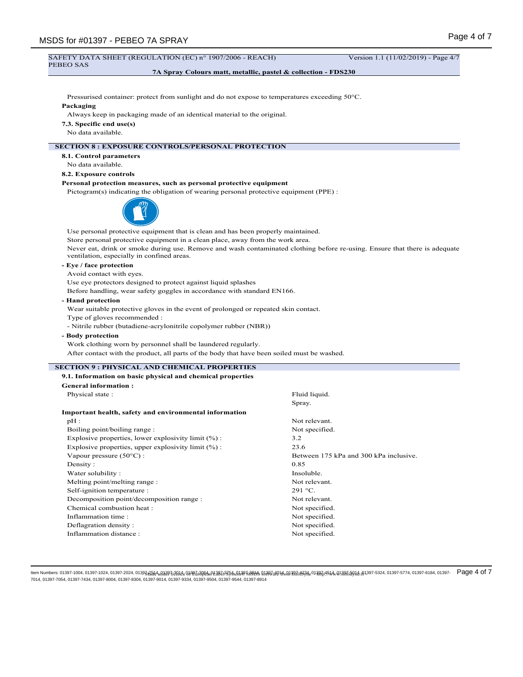| SAFETY DATA SHEET (REGULATION (EC) n° 1907/2006 - REACH)<br>PEBEO SAS                          | Version 1.1 (11/02/2019) - Page 4/7                                                                                        |  |  |  |  |
|------------------------------------------------------------------------------------------------|----------------------------------------------------------------------------------------------------------------------------|--|--|--|--|
| 7A Spray Colours matt, metallic, pastel & collection - FDS230                                  |                                                                                                                            |  |  |  |  |
|                                                                                                |                                                                                                                            |  |  |  |  |
| Pressurised container: protect from sunlight and do not expose to temperatures exceeding 50°C. |                                                                                                                            |  |  |  |  |
| Packaging                                                                                      |                                                                                                                            |  |  |  |  |
| Always keep in packaging made of an identical material to the original.                        |                                                                                                                            |  |  |  |  |
| 7.3. Specific end use(s)                                                                       |                                                                                                                            |  |  |  |  |
| No data available.                                                                             |                                                                                                                            |  |  |  |  |
|                                                                                                |                                                                                                                            |  |  |  |  |
| <b>SECTION 8 : EXPOSURE CONTROLS/PERSONAL PROTECTION</b>                                       |                                                                                                                            |  |  |  |  |
| 8.1. Control parameters                                                                        |                                                                                                                            |  |  |  |  |
| No data available.                                                                             |                                                                                                                            |  |  |  |  |
| 8.2. Exposure controls                                                                         |                                                                                                                            |  |  |  |  |
| Personal protection measures, such as personal protective equipment                            |                                                                                                                            |  |  |  |  |
| Pictogram(s) indicating the obligation of wearing personal protective equipment (PPE) :        |                                                                                                                            |  |  |  |  |
|                                                                                                |                                                                                                                            |  |  |  |  |
|                                                                                                |                                                                                                                            |  |  |  |  |
|                                                                                                |                                                                                                                            |  |  |  |  |
| Use personal protective equipment that is clean and has been properly maintained.              |                                                                                                                            |  |  |  |  |
| Store personal protective equipment in a clean place, away from the work area.                 |                                                                                                                            |  |  |  |  |
|                                                                                                | Never eat, drink or smoke during use. Remove and wash contaminated clothing before re-using. Ensure that there is adequate |  |  |  |  |
| ventilation, especially in confined areas.                                                     |                                                                                                                            |  |  |  |  |
| - Eye / face protection                                                                        |                                                                                                                            |  |  |  |  |
| Avoid contact with eyes.                                                                       |                                                                                                                            |  |  |  |  |
| Use eye protectors designed to protect against liquid splashes                                 |                                                                                                                            |  |  |  |  |
| Before handling, wear safety goggles in accordance with standard EN166.                        |                                                                                                                            |  |  |  |  |
| - Hand protection                                                                              |                                                                                                                            |  |  |  |  |
| Wear suitable protective gloves in the event of prolonged or repeated skin contact.            |                                                                                                                            |  |  |  |  |
| Type of gloves recommended :                                                                   |                                                                                                                            |  |  |  |  |
| - Nitrile rubber (butadiene-acrylonitrile copolymer rubber (NBR))                              |                                                                                                                            |  |  |  |  |
| - Body protection                                                                              |                                                                                                                            |  |  |  |  |
| Work clothing worn by personnel shall be laundered regularly.                                  |                                                                                                                            |  |  |  |  |
| After contact with the product, all parts of the body that have been soiled must be washed.    |                                                                                                                            |  |  |  |  |
|                                                                                                |                                                                                                                            |  |  |  |  |
| <b>SECTION 9: PHYSICAL AND CHEMICAL PROPERTIES</b>                                             |                                                                                                                            |  |  |  |  |
| 9.1. Information on basic physical and chemical properties                                     |                                                                                                                            |  |  |  |  |
| <b>General information:</b>                                                                    |                                                                                                                            |  |  |  |  |
| Physical state:                                                                                | Fluid liquid.                                                                                                              |  |  |  |  |
|                                                                                                | Spray.                                                                                                                     |  |  |  |  |
| Important health, safety and environmental information                                         |                                                                                                                            |  |  |  |  |
| pH:                                                                                            | Not relevant.                                                                                                              |  |  |  |  |
| Boiling point/boiling range :                                                                  | Not specified.                                                                                                             |  |  |  |  |
| Explosive properties, lower explosivity limit (%) :                                            | 3.2                                                                                                                        |  |  |  |  |
| Explosive properties, upper explosivity limit $(\%)$ :                                         | 23.6                                                                                                                       |  |  |  |  |
| Vapour pressure (50°C) :                                                                       | Between 175 kPa and 300 kPa inclusive.                                                                                     |  |  |  |  |
| Density:                                                                                       | 0.85                                                                                                                       |  |  |  |  |
| Water solubility:                                                                              | Insoluble.                                                                                                                 |  |  |  |  |
| Melting point/melting range :                                                                  | Not relevant.                                                                                                              |  |  |  |  |
| Self-ignition temperature :                                                                    | 291 °C.                                                                                                                    |  |  |  |  |
| Decomposition point/decomposition range :<br>Not relevant.                                     |                                                                                                                            |  |  |  |  |
| Chemical combustion heat:<br>Not specified.                                                    |                                                                                                                            |  |  |  |  |
| Inflammation time:                                                                             | Not specified.                                                                                                             |  |  |  |  |

ltem Numbers: 01397-1004, 01397-1024, 01397-2024, 01397<u>,25</u>14, 01397,3984,398,398,4,0985,398,4,4975,8,01397,8584,013,878,400,1397,584,013,97,58,40,1397,58,01,4,01397-5324, 01397-5774, 01397-6184, 01397- Page 4 of 7<br>7014

Deflagration density :<br>
Inflammation distance :<br>
Not specified.<br>
Not specified.

Inflammation distance :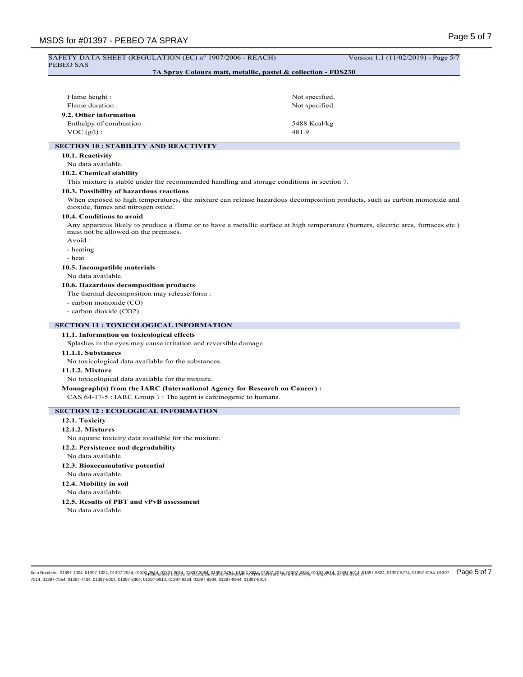# Page 5 of 7 MSDS for #01397 - PEBEO 7A SPRAY SAFETY DATA SHEET (REGULATION (EC) n° 1907/2006 - REACH) Version 1.1 (11/02/2019) - Page 5/7 PEBEO SAS **7A Spray Colours matt, metallic, pastel & collection - FDS230** Flame height : Not specified. Flame duration : Not specified. **9.2. Other information** Enthalpy of combustion : 5488 Kcal/kg  $VOC (g/l):$  481.9 **SECTION 10 : STABILITY AND REACTIVITY 10.1. Reactivity** No data available. **10.2. Chemical stability** This mixture is stable under the recommended handling and storage conditions in section 7. **10.3. Possibility of hazardous reactions** When exposed to high temperatures, the mixture can release hazardous decomposition products, such as carbon monoxide and dioxide, fumes and nitrogen oxide. **10.4. Conditions to avoid** Any apparatus likely to produce a flame or to have a metallic surface at high temperature (burners, electric arcs, furnaces etc.) must not be allowed on the premises. Avoid : - heating - heat **10.5. Incompatible materials** No data available. **10.6. Hazardous decomposition products** The thermal decomposition may release/form : - carbon monoxide (CO) - carbon dioxide (CO2) **SECTION 11 : TOXICOLOGICAL INFORMATION 11.1. Information on toxicological effects** Splashes in the eyes may cause irritation and reversible damage **11.1.1. Substances** No toxicological data available for the substances. **11.1.2. Mixture** No toxicological data available for the mixture. **Monograph(s) from the IARC (International Agency for Research on Cancer) :** CAS 64-17-5 : IARC Group 1 : The agent is carcinogenic to humans. **SECTION 12 : ECOLOGICAL INFORMATION 12.1. Toxicity 12.1.2. Mixtures** No aquatic toxicity data available for the mixture. **12.2. Persistence and degradability** No data available. **12.3. Bioaccumulative potential** No data available. **12.4. Mobility in soil** No data available. **12.5. Results of PBT and vPvB assessment** No data available.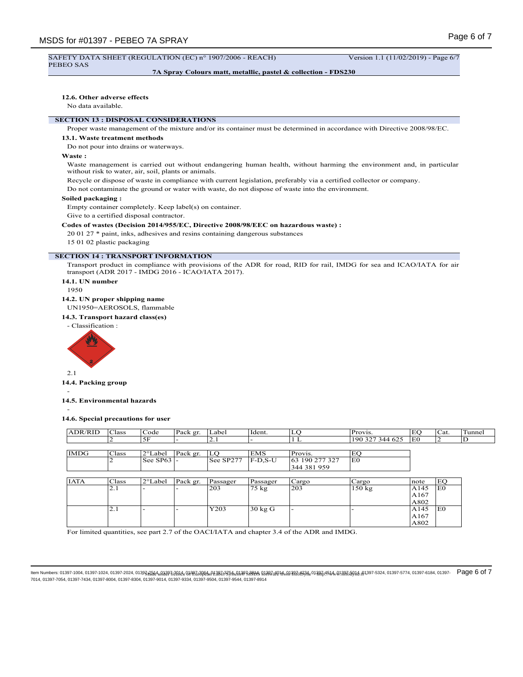#### SAFETY DATA SHEET (REGULATION (EC) n° 1907/2006 - REACH) Version 1.1 (11/02/2019) - Page 6/7 PEBEO SAS

**7A Spray Colours matt, metallic, pastel & collection - FDS230**

## **12.6. Other adverse effects**

No data available.

# **SECTION 13 : DISPOSAL CONSIDERATIONS**

Proper waste management of the mixture and/or its container must be determined in accordance with Directive 2008/98/EC.

## **13.1. Waste treatment methods**

Do not pour into drains or waterways.

## **Waste :**

Waste management is carried out without endangering human health, without harming the environment and, in particular without risk to water, air, soil, plants or animals.

Recycle or dispose of waste in compliance with current legislation, preferably via a certified collector or company.

Do not contaminate the ground or water with waste, do not dispose of waste into the environment.

#### **Soiled packaging :**

Empty container completely. Keep label(s) on container.

Give to a certified disposal contractor.

# **Codes of wastes (Decision 2014/955/EC, Directive 2008/98/EEC on hazardous waste) :**

20 01 27 \* paint, inks, adhesives and resins containing dangerous substances

15 01 02 plastic packaging

#### **SECTION 14 : TRANSPORT INFORMATION**

Transport product in compliance with provisions of the ADR for road, RID for rail, IMDG for sea and ICAO/IATA for air transport (ADR 2017 - IMDG 2016 - ICAO/IATA 2017).

- **14.1. UN number**
- 1950
- **14.2. UN proper shipping name**
- UN1950=AEROSOLS, flammable
- **14.3. Transport hazard class(es)**
- Classification :



2.1

**14.4. Packing group**

- **14.5. Environmental hazards**

-

## **14.6. Special precautions for user**

| <b>ADR/RID</b> | Class | Code               | Pack gr. | Label     | Ident.            | LQ             | Provis.         | EO             | Cat. | Tunnel |
|----------------|-------|--------------------|----------|-----------|-------------------|----------------|-----------------|----------------|------|--------|
|                | ∠     | 5F                 |          | 2.1       |                   | 1L             | 190 327 344 625 | E <sub>0</sub> | ∠    | D      |
|                |       |                    |          |           |                   |                |                 |                |      |        |
| <b>IMDG</b>    | Class | 2°Label            | Pack gr. | LO        | <b>EMS</b>        | Provis.        | EO              |                |      |        |
|                | ∠     | See SP63 $\vert$ - |          | See SP277 | F-D.S-U           | 63 190 277 327 | E <sub>0</sub>  |                |      |        |
|                |       |                    |          |           |                   | 344 381 959    |                 |                |      |        |
|                |       |                    |          |           |                   |                |                 |                |      |        |
| <b>IATA</b>    | Class | $2^{\circ}$ Label  | Pack gr. | Passager  | Passager          | Cargo          | Cargo           | note           | EQ   |        |
|                | 2.1   |                    |          | 203       | $75 \text{ kg}$   | 203            | 150 kg          | A145           | E0   |        |
|                |       |                    |          |           |                   |                |                 | A167           |      |        |
|                |       |                    |          |           |                   |                |                 | A802           |      |        |
|                | 2.1   |                    |          | Y203      | $30 \text{ kg}$ G |                |                 | A145           | E0   |        |
|                |       |                    |          |           |                   |                |                 | A167           |      |        |
|                |       |                    |          |           |                   |                |                 | A802           |      |        |

For limited quantities, see part 2.7 of the OACI/IATA and chapter 3.4 of the ADR and IMDG.

ltem Numbers: 01397-1004, 01397-1024, 01397-2024, 01397<del>, 202</del>4, 4,1397, 2024, 4,897, 2,842, 4,992, 2,892, 2,892, 2,894, 4,138, 2,894, 2,894, 2,894, 2,894, 2,894, 2,894, 2,94, 2,94, 4,1397, 4,89, 2,89, 2,89, 2,89, 2,89, 2 7014, 01397-7054, 01397-7434, 01397-8004, 01397-8304, 01397-9014, 01397-9334, 01397-9504, 01397-9544, 01397-8914